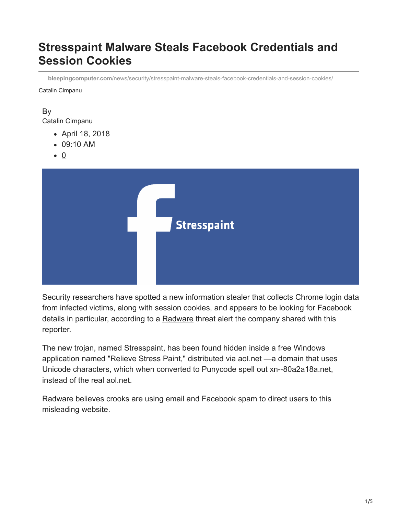# **Stresspaint Malware Steals Facebook Credentials and Session Cookies**

**bleepingcomputer.com**[/news/security/stresspaint-malware-steals-facebook-credentials-and-session-cookies/](https://www.bleepingcomputer.com/news/security/stresspaint-malware-steals-facebook-credentials-and-session-cookies/)

Catalin Cimpanu

#### By [Catalin Cimpanu](https://www.bleepingcomputer.com/author/catalin-cimpanu/)

- April 18, 2018
- 09:10 AM
- $\bullet$  0



Security researchers have spotted a new information stealer that collects Chrome login data from infected victims, along with session cookies, and appears to be looking for Facebook details in particular, according to a [Radware](https://www.radware.com/) threat alert the company shared with this reporter.

The new trojan, named Stresspaint, has been found hidden inside a free Windows application named "Relieve Stress Paint," distributed via aol.net —a domain that uses Unicode characters, which when converted to Punycode spell out xn--80a2a18a.net, instead of the real aol.net.

Radware believes crooks are using email and Facebook spam to direct users to this misleading website.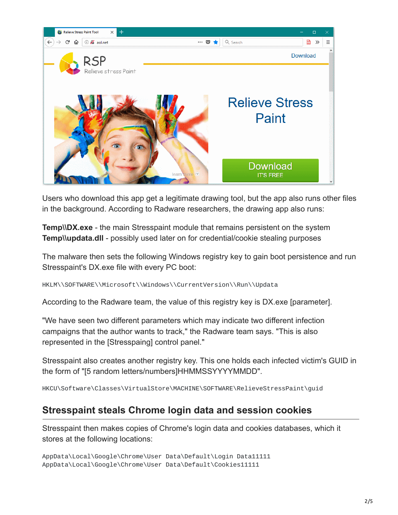

Users who download this app get a legitimate drawing tool, but the app also runs other files in the background. According to Radware researchers, the drawing app also runs:

**Temp\\DX.exe** - the main Stresspaint module that remains persistent on the system **Temp\\updata.dll** - possibly used later on for credential/cookie stealing purposes

The malware then sets the following Windows registry key to gain boot persistence and run Stresspaint's DX.exe file with every PC boot:

HKLM\\SOFTWARE\\Microsoft\\Windows\\CurrentVersion\\Run\\Updata

According to the Radware team, the value of this registry key is DX.exe [parameter].

"We have seen two different parameters which may indicate two different infection campaigns that the author wants to track," the Radware team says. "This is also represented in the [Stresspaing] control panel."

Stresspaint also creates another registry key. This one holds each infected victim's GUID in the form of "[5 random letters/numbers]HHMMSSYYYYMMDD".

HKCU\Software\Classes\VirtualStore\MACHINE\SOFTWARE\RelieveStressPaint\guid

### **Stresspaint steals Chrome login data and session cookies**

Stresspaint then makes copies of Chrome's login data and cookies databases, which it stores at the following locations:

AppData\Local\Google\Chrome\User Data\Default\Login Data11111 AppData\Local\Google\Chrome\User Data\Default\Cookies11111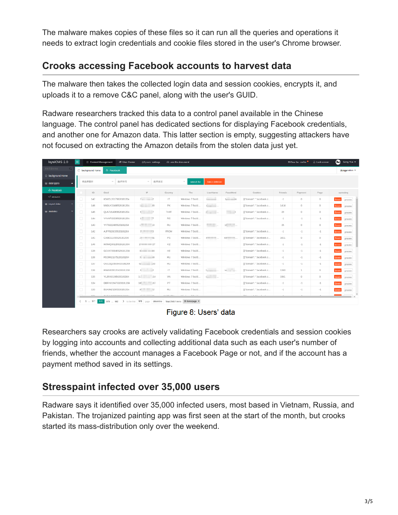The malware makes copies of these files so it can run all the queries and operations it needs to extract login credentials and cookie files stored in the user's Chrome browser.

## **Crooks accessing Facebook accounts to harvest data**

The malware then takes the collected login data and session cookies, encrypts it, and uploads it to a remove C&C panel, along with the user's GUID.

Radware researchers tracked this data to a control panel available in the Chinese language. The control panel has dedicated sections for displaying Facebook credentials, and another one for Amazon data. This latter section is empty, suggesting attackers have not focused on extracting the Amazon details from the stolen data just yet.

| layuiCMS 2.0         | $\equiv$ | <b>El Content Management</b> | 26 User Center        | diSystem settings                                                    |                  | (4) use the document        |                                   |               |                                    |         | #Clear the cache | <b>fa Lock screen</b> | Cong Yue                 |
|----------------------|----------|------------------------------|-----------------------|----------------------------------------------------------------------|------------------|-----------------------------|-----------------------------------|---------------|------------------------------------|---------|------------------|-----------------------|--------------------------|
| 日本百百点功能              |          | the background Home          | de Facebook           |                                                                      |                  |                             |                                   |               |                                    |         |                  |                       | $O$ [Coperation $\neg$   |
| the background Home  |          |                              |                       |                                                                      |                  |                             |                                   |               |                                    |         |                  |                       |                          |
| a data types         |          | 请选择国家                        | 选择账号<br>$\mathcal{C}$ | 选择类型<br>$\mathcal{C}$                                                |                  | $\mathcal{L}$<br>search for | batch deletion                    |               |                                    |         |                  |                       |                          |
| de Facebook          |          | $\mathbb{ID}$                | Guid                  | IP                                                                   | Country          | The                         | UserName                          | PassWord      | Cookies                            | Friends | Payment          | Page                  | operating                |
| -2 amazon            |          | 147                          | IGWDL20175620181204   | $7 - 2$                                                              | $\top$           | Windows 7 Bulid.            | <b>College College</b>            | $h_1 = -30$   | [["domain": ".facebook.c           | $-1$    | $\circ$          | 0                     | <b>Delate</b><br>preview |
| <b>G</b> export data |          | 146                          | M60UY23485520181204   | 11 39                                                                | PK               | Windows 7 Build.            | <b>Contract Contract Contract</b> |               | [{"domain": ".facebook.c           | 1414    | $\circ$          | D                     | Delete  <br>preview      |
| statistics           | u        | 145                          | OLA7U14065620181204   | $\epsilon$ 7                                                         | THAT             | Windows 7 Bulid             | i - -                             | $\frac{1}{2}$ | [{"domain": ".facebook.c           | 39      | $^{\circ}$       | D                     | Delate<br>preview        |
|                      | o        | 144                          | YVVKP20335620181204   | $1 \overline{7}$                                                     | RS               | Windows 7 Bulid             |                                   |               | [{"domain": ".facebook.c           | $-1$    | $-1$             | $-1$                  | Delete<br>proview        |
|                      | 0        | 143                          | YVT8J22485520181204   | $1$ 10                                                               | <b>RU</b>        | Windows 7 Bulid             | <b>COLLA</b>                      | $10 - 10$     |                                    | 35      | $\circ$          | D                     | Delate<br>preview        |
|                      | 0        | 142                          | AJFFB20235520181204   | $9 \mid 3$                                                           | <b>FROM</b>      | Windows 7 Build             |                                   |               | [{"domain": ".facebook.c           | $-1$    | $-1$             | $-1$                  | <b>Delete</b><br>preview |
|                      | □        | 141                          | C46IO11455520181204   | 21 01                                                                | PS               | Windows 7 Bulid             | <b>The Common</b>                 | $ro$ $\Box$   | [{"domain": ".facebook.c           | 1631    | $\hfill\square$  | D                     | Delate<br>preview        |
|                      | Ω        | 140                          | IKRWQ00125520181304   | $17 = 27$                                                            | KZ               | Windows 7 Build             |                                   |               | [["domain": ".facebook.c           | $-1$    | $-1$             | $-1$                  | Delete  <br>preview      |
|                      |          | 139                          | GCVX720045520181204   | 8. 34                                                                | HE               | Windows 7 Bulid             |                                   |               | [{"domain": ".facebook.c           | $-1$    | $-1$             | $-1$                  | Delete<br>proview        |
|                      | о        | 138                          | PEOIR21175120181204   | $3 \frac{1}{9}$                                                      | <b>RU</b>        | Windows 7 Bulid             |                                   |               | [["domain": ".facebook.c           | $-1$    | $-1$             | $-1$                  | Delete<br>preview        |
|                      | L.       | 137                          | OULDQ23505420181204   | $62 - 33$                                                            | RU               | Windows 7 Build             |                                   |               | [{"domain": ".facebook.c           | $-1$    | $-1$             | $-1$                  | Delete<br>proview        |
|                      | 0        | 136                          | PIWAW20125420181204   | $8 - 2$                                                              | IT.              | Windows 7 Bulid             | <b>Communication</b>              | View of the   | [["domain": ".facebook.c           | 1300    | $\mathbf{1}$     | $\circ$               | Delate<br>preview        |
|                      |          | 135                          | YLJRX01085420181304   | 11: 14                                                               | VN               | Windows 7 Build             | $\epsilon$ .                      |               | [{"domain": ".facebook.c           | 1961    | O                | 0                     | Delete  <br>proview      |
|                      |          | 134                          | DDFHV19475320181204   | $18$ $167$                                                           | PT               | Windows 7 Build             |                                   |               | [["domain": ".facebook.c           | $-1$    | $-1$             | $-1$                  | Delate<br>preview        |
|                      | ш        | 133                          | BSA9N21285320181204   | $8!$ 22                                                              | RU               | Windows 7 Bulid             |                                   |               | [["domain": ".facebook.c           | $-1$    | $-1$             | $-1$                  | Delete<br>proview        |
|                      |          | a state.                     |                       |                                                                      | A F FREE A FRICA |                             |                                   |               | THE R. P. LEWIS CO., LANSING MICH. |         |                  |                       |                          |
|                      |          | $\zeta$ 1  977               | 978<br>979  982       | > to the first 978 page determine Total 29457 literrs 30 tems/page . |                  |                             |                                   |               |                                    |         |                  |                       |                          |

Figure 8: Users' data

Researchers say crooks are actively validating Facebook credentials and session cookies by logging into accounts and collecting additional data such as each user's number of friends, whether the account manages a Facebook Page or not, and if the account has a payment method saved in its settings.

## **Stresspaint infected over 35,000 users**

Radware says it identified over 35,000 infected users, most based in Vietnam, Russia, and Pakistan. The trojanized painting app was first seen at the start of the month, but crooks started its mass-distribution only over the weekend.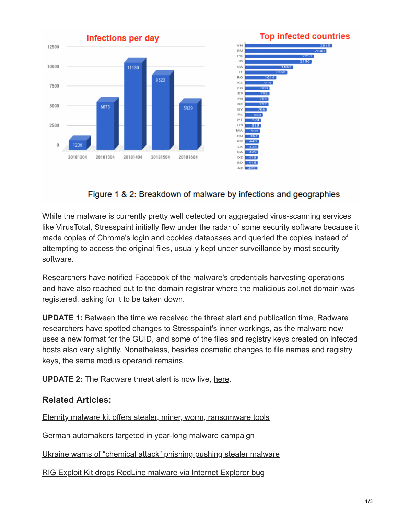

## Figure 1 & 2: Breakdown of malware by infections and geographies

While the malware is currently pretty well detected on aggregated virus-scanning services like VirusTotal, Stresspaint initially flew under the radar of some security software because it made copies of Chrome's login and cookies databases and queried the copies instead of attempting to access the original files, usually kept under surveillance by most security software.

Researchers have notified Facebook of the malware's credentials harvesting operations and have also reached out to the domain registrar where the malicious aol.net domain was registered, asking for it to be taken down.

**UPDATE 1:** Between the time we received the threat alert and publication time, Radware researchers have spotted changes to Stresspaint's inner workings, as the malware now uses a new format for the GUID, and some of the files and registry keys created on infected hosts also vary slightly. Nonetheless, besides cosmetic changes to file names and registry keys, the same modus operandi remains.

**UPDATE 2:** The Radware threat alert is now live, [here.](https://security.radware.com/malware/stresspaint-malware-targeting-facebook-credentials/)

### **Related Articles:**

[Eternity malware kit offers stealer, miner, worm, ransomware tools](https://www.bleepingcomputer.com/news/security/eternity-malware-kit-offers-stealer-miner-worm-ransomware-tools/)

[German automakers targeted in year-long malware campaign](https://www.bleepingcomputer.com/news/security/german-automakers-targeted-in-year-long-malware-campaign/)

[Ukraine warns of "chemical attack" phishing pushing stealer malware](https://www.bleepingcomputer.com/news/security/ukraine-warns-of-chemical-attack-phishing-pushing-stealer-malware/)

[RIG Exploit Kit drops RedLine malware via Internet Explorer bug](https://www.bleepingcomputer.com/news/security/rig-exploit-kit-drops-redline-malware-via-internet-explorer-bug/)